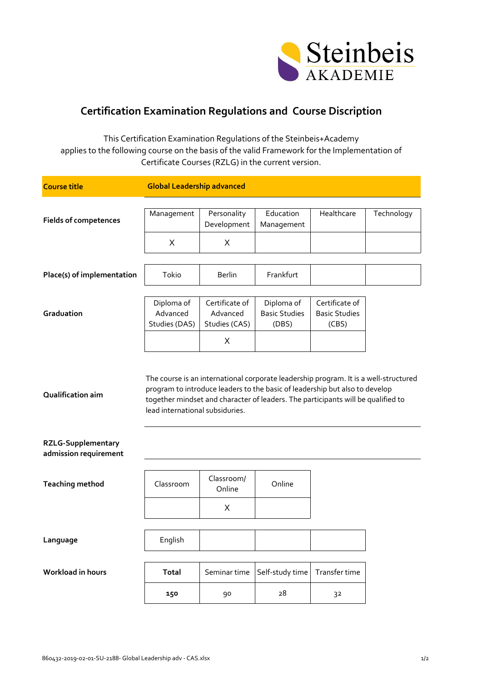

## **Certification Examination Regulations and Course Discription**

This Certification Examination Regulations of the Steinbeis+Academy applies to the following course on the basis of the valid Framework for the Implementation of Certificate Courses (RZLG) in the current version.

| <b>Course title</b>                                                     | <b>Global Leadership advanced</b>       |                                             |                                                                                                                                                                                                                                                         |                                                 |            |
|-------------------------------------------------------------------------|-----------------------------------------|---------------------------------------------|---------------------------------------------------------------------------------------------------------------------------------------------------------------------------------------------------------------------------------------------------------|-------------------------------------------------|------------|
| <b>Fields of competences</b>                                            | Management                              | Personality<br>Development                  | Education<br>Management                                                                                                                                                                                                                                 | Healthcare                                      | Technology |
|                                                                         | X                                       | X                                           |                                                                                                                                                                                                                                                         |                                                 |            |
| Place(s) of implementation                                              | Tokio                                   | Berlin                                      | Frankfurt                                                                                                                                                                                                                                               |                                                 |            |
| Graduation                                                              | Diploma of<br>Advanced<br>Studies (DAS) | Certificate of<br>Advanced<br>Studies (CAS) | Diploma of<br><b>Basic Studies</b><br>(DBS)                                                                                                                                                                                                             | Certificate of<br><b>Basic Studies</b><br>(CBS) |            |
|                                                                         |                                         | X                                           |                                                                                                                                                                                                                                                         |                                                 |            |
| Qualification aim<br><b>RZLG-Supplementary</b><br>admission requirement | lead international subsiduries.         |                                             | The course is an international corporate leadership program. It is a well-structured<br>program to introduce leaders to the basic of leadership but also to develop<br>together mindset and character of leaders. The participants will be qualified to |                                                 |            |
| <b>Teaching method</b>                                                  | Classroom                               | Classroom/<br>Online                        | Online                                                                                                                                                                                                                                                  |                                                 |            |
|                                                                         |                                         | X                                           |                                                                                                                                                                                                                                                         |                                                 |            |
| Language                                                                | English                                 |                                             |                                                                                                                                                                                                                                                         |                                                 |            |
| <b>Workload in hours</b>                                                | <b>Total</b>                            | Seminar time                                | Self-study time                                                                                                                                                                                                                                         | Transfer time                                   |            |
|                                                                         | 150                                     | 90                                          | 28                                                                                                                                                                                                                                                      | 32                                              |            |